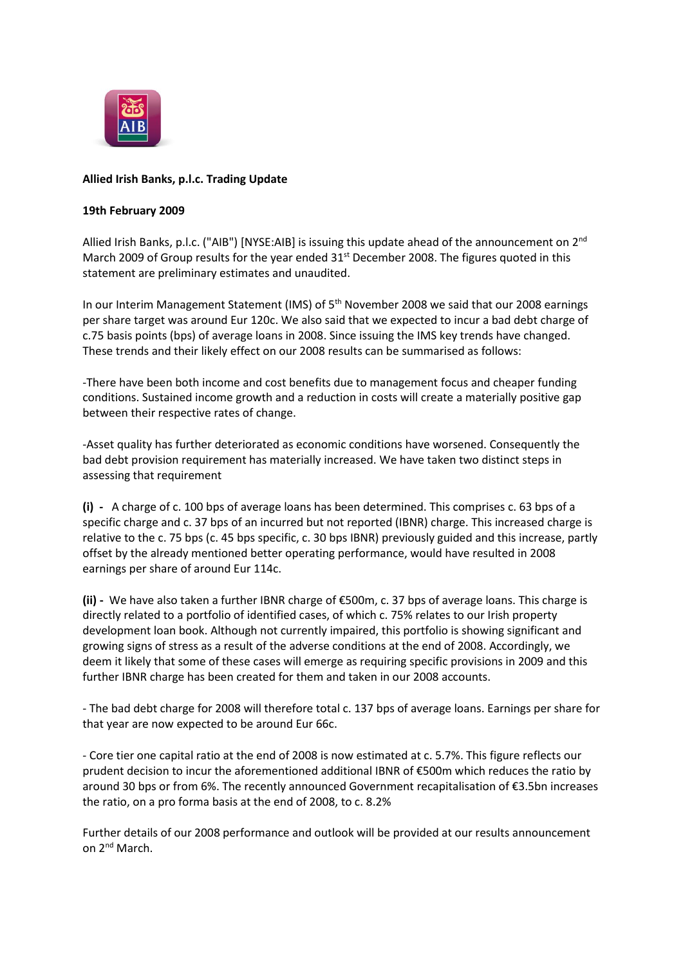

## **Allied Irish Banks, p.l.c. Trading Update**

## **19th February 2009**

Allied Irish Banks, p.l.c. ("AIB") [NYSE:AIB] is issuing this update ahead of the announcement on 2<sup>nd</sup> March 2009 of Group results for the year ended 31<sup>st</sup> December 2008. The figures quoted in this statement are preliminary estimates and unaudited.

In our Interim Management Statement (IMS) of 5<sup>th</sup> November 2008 we said that our 2008 earnings per share target was around Eur 120c. We also said that we expected to incur a bad debt charge of c.75 basis points (bps) of average loans in 2008. Since issuing the IMS key trends have changed. These trends and their likely effect on our 2008 results can be summarised as follows:

-There have been both income and cost benefits due to management focus and cheaper funding conditions. Sustained income growth and a reduction in costs will create a materially positive gap between their respective rates of change.

-Asset quality has further deteriorated as economic conditions have worsened. Consequently the bad debt provision requirement has materially increased. We have taken two distinct steps in assessing that requirement

**(i) -** A charge of c. 100 bps of average loans has been determined. This comprises c. 63 bps of a specific charge and c. 37 bps of an incurred but not reported (IBNR) charge. This increased charge is relative to the c. 75 bps (c. 45 bps specific, c. 30 bps IBNR) previously guided and this increase, partly offset by the already mentioned better operating performance, would have resulted in 2008 earnings per share of around Eur 114c.

**(ii) -** We have also taken a further IBNR charge of €500m, c. 37 bps of average loans. This charge is directly related to a portfolio of identified cases, of which c. 75% relates to our Irish property development loan book. Although not currently impaired, this portfolio is showing significant and growing signs of stress as a result of the adverse conditions at the end of 2008. Accordingly, we deem it likely that some of these cases will emerge as requiring specific provisions in 2009 and this further IBNR charge has been created for them and taken in our 2008 accounts.

- The bad debt charge for 2008 will therefore total c. 137 bps of average loans. Earnings per share for that year are now expected to be around Eur 66c.

- Core tier one capital ratio at the end of 2008 is now estimated at c. 5.7%. This figure reflects our prudent decision to incur the aforementioned additional IBNR of €500m which reduces the ratio by around 30 bps or from 6%. The recently announced Government recapitalisation of €3.5bn increases the ratio, on a pro forma basis at the end of 2008, to c. 8.2%

Further details of our 2008 performance and outlook will be provided at our results announcement on 2nd March.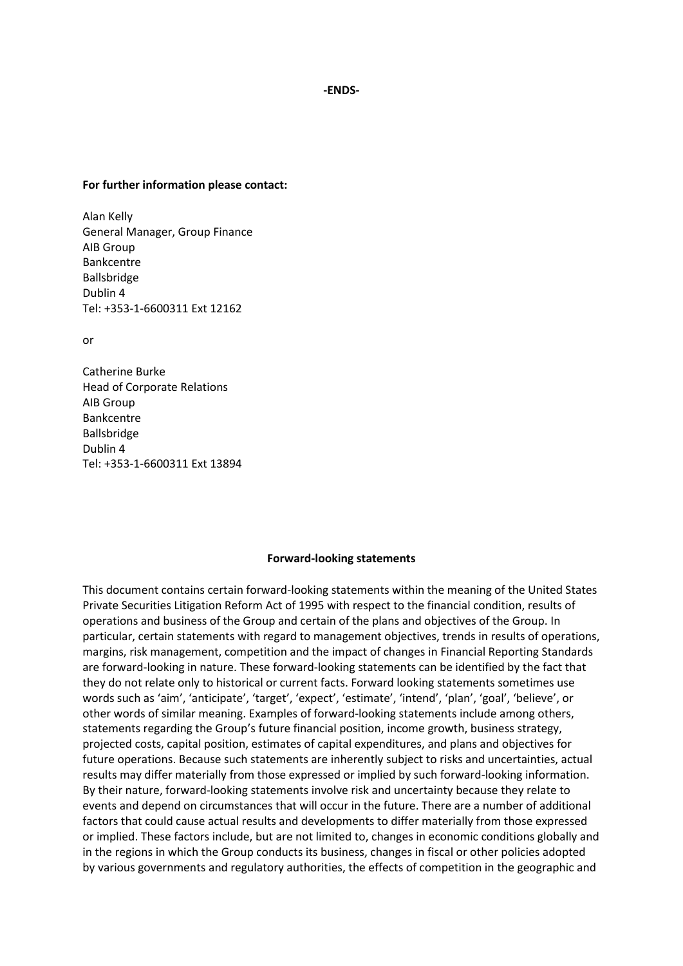## **For further information please contact:**

Alan Kelly General Manager, Group Finance AIB Group Bankcentre Ballsbridge Dublin 4 Tel: +353-1-6600311 Ext 12162

or

Catherine Burke Head of Corporate Relations AIB Group Bankcentre Ballsbridge Dublin 4 Tel: +353-1-6600311 Ext 13894

## **Forward-looking statements**

This document contains certain forward-looking statements within the meaning of the United States Private Securities Litigation Reform Act of 1995 with respect to the financial condition, results of operations and business of the Group and certain of the plans and objectives of the Group. In particular, certain statements with regard to management objectives, trends in results of operations, margins, risk management, competition and the impact of changes in Financial Reporting Standards are forward-looking in nature. These forward-looking statements can be identified by the fact that they do not relate only to historical or current facts. Forward looking statements sometimes use words such as 'aim', 'anticipate', 'target', 'expect', 'estimate', 'intend', 'plan', 'goal', 'believe', or other words of similar meaning. Examples of forward-looking statements include among others, statements regarding the Group's future financial position, income growth, business strategy, projected costs, capital position, estimates of capital expenditures, and plans and objectives for future operations. Because such statements are inherently subject to risks and uncertainties, actual results may differ materially from those expressed or implied by such forward-looking information. By their nature, forward-looking statements involve risk and uncertainty because they relate to events and depend on circumstances that will occur in the future. There are a number of additional factors that could cause actual results and developments to differ materially from those expressed or implied. These factors include, but are not limited to, changes in economic conditions globally and in the regions in which the Group conducts its business, changes in fiscal or other policies adopted by various governments and regulatory authorities, the effects of competition in the geographic and

**-ENDS-**